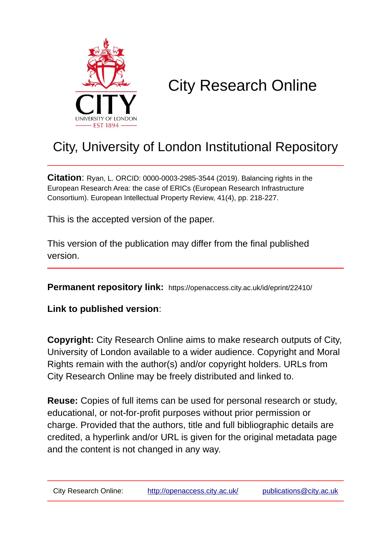

# City Research Online

## City, University of London Institutional Repository

**Citation**: Ryan, L. ORCID: 0000-0003-2985-3544 (2019). Balancing rights in the European Research Area: the case of ERICs (European Research Infrastructure Consortium). European Intellectual Property Review, 41(4), pp. 218-227.

This is the accepted version of the paper.

This version of the publication may differ from the final published version.

**Permanent repository link:** https://openaccess.city.ac.uk/id/eprint/22410/

**Link to published version**:

**Copyright:** City Research Online aims to make research outputs of City, University of London available to a wider audience. Copyright and Moral Rights remain with the author(s) and/or copyright holders. URLs from City Research Online may be freely distributed and linked to.

**Reuse:** Copies of full items can be used for personal research or study, educational, or not-for-profit purposes without prior permission or charge. Provided that the authors, title and full bibliographic details are credited, a hyperlink and/or URL is given for the original metadata page and the content is not changed in any way.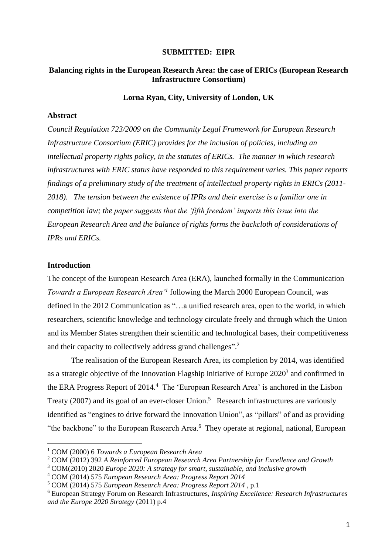#### **SUBMITTED: EIPR**

#### **Balancing rights in the European Research Area: the case of ERICs (European Research Infrastructure Consortium)**

#### **Lorna Ryan, City, University of London, UK**

#### **Abstract**

*Council Regulation 723/2009 on the Community Legal Framework for European Research Infrastructure Consortium (ERIC) provides for the inclusion of policies, including an intellectual property rights policy, in the statutes of ERICs. The manner in which research infrastructures with ERIC status have responded to this requirement varies. This paper reports findings of a preliminary study of the treatment of intellectual property rights in ERICs (2011- 2018). The tension between the existence of IPRs and their exercise is a familiar one in competition law; the paper suggests that the 'fifth freedom' imports this issue into the European Research Area and the balance of rights forms the backcloth of considerations of IPRs and ERICs.*

#### **Introduction**

**.** 

The concept of the European Research Area (ERA), launched formally in the Communication *Towards a European Research Area'<sup>1</sup>* following the March 2000 European Council, was defined in the 2012 Communication as "…a unified research area, open to the world, in which researchers, scientific knowledge and technology circulate freely and through which the Union and its Member States strengthen their scientific and technological bases, their competitiveness and their capacity to collectively address grand challenges". 2

The realisation of the European Research Area, its completion by 2014, was identified as a strategic objective of the Innovation Flagship initiative of Europe  $2020<sup>3</sup>$  and confirmed in the ERA Progress Report of 2014.<sup>4</sup> The 'European Research Area' is anchored in the Lisbon Treaty (2007) and its goal of an ever-closer Union.<sup>5</sup> Research infrastructures are variously identified as "engines to drive forward the Innovation Union", as "pillars" of and as providing "the backbone" to the European Research Area.<sup>6</sup> They operate at regional, national, European

<sup>1</sup> COM (2000) 6 *Towards a European Research Area*

<sup>2</sup> COM (2012) 392 *A Reinforced European Research Area Partnership for Excellence and Growth*

<sup>3</sup> COM(2010) 2020 *Europe 2020: A strategy for smart, sustainable, and inclusive growth*

<sup>4</sup> COM (2014) 575 *European Research Area: Progress Report 2014*

<sup>5</sup> COM (2014) 575 *European Research Area: Progress Report 2014* , p.1

<sup>6</sup> European Strategy Forum on Research Infrastructures, *Inspiring Excellence: Research Infrastructures and the Europe 2020 Strategy* (2011) p.4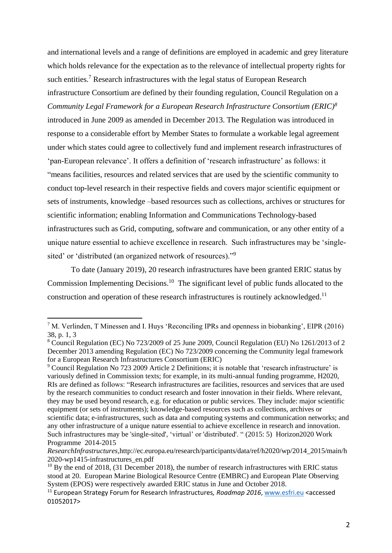and international levels and a range of definitions are employed in academic and grey literature which holds relevance for the expectation as to the relevance of intellectual property rights for such entities.<sup>7</sup> Research infrastructures with the legal status of European Research infrastructure Consortium are defined by their founding regulation, Council Regulation on a *Community Legal Framework for a European Research Infrastructure Consortium (ERIC)<sup>8</sup>* introduced in June 2009 as amended in December 2013. The Regulation was introduced in response to a considerable effort by Member States to formulate a workable legal agreement under which states could agree to collectively fund and implement research infrastructures of 'pan-European relevance'. It offers a definition of 'research infrastructure' as follows: it "means facilities, resources and related services that are used by the scientific community to conduct top-level research in their respective fields and covers major scientific equipment or sets of instruments, knowledge –based resources such as collections, archives or structures for scientific information; enabling Information and Communications Technology-based infrastructures such as Grid, computing, software and communication, or any other entity of a unique nature essential to achieve excellence in research. Such infrastructures may be 'singlesited' or 'distributed (an organized network of resources)."<sup>9</sup>

To date (January 2019), 20 research infrastructures have been granted ERIC status by Commission Implementing Decisions.<sup>10</sup> The significant level of public funds allocated to the construction and operation of these research infrastructures is routinely acknowledged. 11

<sup>7</sup> M. Verlinden, T Minessen and I. Huys 'Reconciling IPRs and openness in biobanking', EIPR (2016) 38, p. 1, 3

<sup>8</sup> Council Regulation (EC) No 723/2009 of 25 June 2009, Council Regulation (EU) No 1261/2013 of 2 December 2013 amending Regulation (EC) No 723/2009 concerning the Community legal framework for a European Research Infrastructures Consortium (ERIC)

<sup>9</sup> Council Regulation No 723 2009 Article 2 Definitions; it is notable that 'research infrastructure' is variously defined in Commission texts; for example, in its multi-annual funding programme, H2020, RIs are defined as follows: "Research infrastructures are facilities, resources and services that are used by the research communities to conduct research and foster innovation in their fields. Where relevant, they may be used beyond research, e.g. for education or public services. They include: major scientific equipment (or sets of instruments); knowledge-based resources such as collections, archives or scientific data; e-infrastructures, such as data and computing systems and communication networks; and any other infrastructure of a unique nature essential to achieve excellence in research and innovation. Such infrastructures may be 'single-sited', 'virtual' or 'distributed'. " (2015: 5) Horizon2020 Work Programme 2014-2015

*ResearchInfrastructures,*http://ec.europa.eu/research/participants/data/ref/h2020/wp/2014\_2015/main/h 2020-wp1415-infrastructures\_en.pdf

 $10$  By the end of 2018, (31 December 2018), the number of research infrastructures with ERIC status stood at 20. European Marine Biological Resource Centre (EMBRC) and European Plate Observing System (EPOS) were respectively awarded ERIC status in June and October 2018.

<sup>11</sup> European Strategy Forum for Research Infrastructures*, Roadmap 2016*, [www.esfri.eu](http://www.esfri.eu/) <accessed 01052017>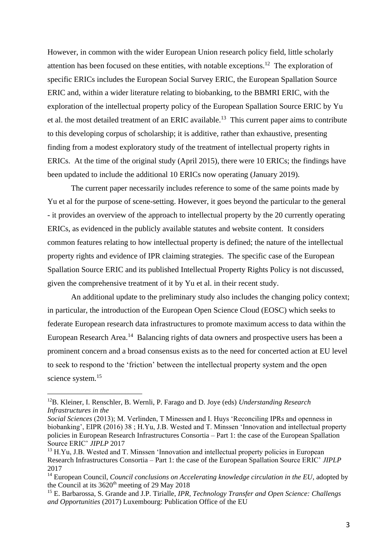However, in common with the wider European Union research policy field, little scholarly attention has been focused on these entities, with notable exceptions.<sup>12</sup> The exploration of specific ERICs includes the European Social Survey ERIC, the European Spallation Source ERIC and, within a wider literature relating to biobanking, to the BBMRI ERIC, with the exploration of the intellectual property policy of the European Spallation Source ERIC by Yu et al. the most detailed treatment of an ERIC available.<sup>13</sup> This current paper aims to contribute to this developing corpus of scholarship; it is additive, rather than exhaustive, presenting finding from a modest exploratory study of the treatment of intellectual property rights in ERICs. At the time of the original study (April 2015), there were 10 ERICs; the findings have been updated to include the additional 10 ERICs now operating (January 2019).

The current paper necessarily includes reference to some of the same points made by Yu et al for the purpose of scene-setting. However, it goes beyond the particular to the general - it provides an overview of the approach to intellectual property by the 20 currently operating ERICs, as evidenced in the publicly available statutes and website content. It considers common features relating to how intellectual property is defined; the nature of the intellectual property rights and evidence of IPR claiming strategies. The specific case of the European Spallation Source ERIC and its published Intellectual Property Rights Policy is not discussed, given the comprehensive treatment of it by Yu et al. in their recent study.

An additional update to the preliminary study also includes the changing policy context; in particular, the introduction of the European Open Science Cloud (EOSC) which seeks to federate European research data infrastructures to promote maximum access to data within the European Research Area.<sup>14</sup> Balancing rights of data owners and prospective users has been a prominent concern and a broad consensus exists as to the need for concerted action at EU level to seek to respond to the 'friction' between the intellectual property system and the open science system.<sup>15</sup>

<sup>12</sup>B. Kleiner, I. Renschler, B. Wernli, P. Farago and D. Joye (eds) *Understanding Research Infrastructures in the*

*Social Sciences* (2013); M. Verlinden, T Minessen and I. Huys 'Reconciling IPRs and openness in biobanking', EIPR (2016) 38 ; H.Yu, J.B. Wested and T. Minssen 'Innovation and intellectual property policies in European Research Infrastructures Consortia – Part 1: the case of the European Spallation Source ERIC' *JIPLP* 2017

<sup>&</sup>lt;sup>13</sup> H.Yu, J.B. Wested and T. Minssen 'Innovation and intellectual property policies in European Research Infrastructures Consortia – Part 1: the case of the European Spallation Source ERIC' *JIPLP* 2017

<sup>&</sup>lt;sup>14</sup> European Council, *Council conclusions on Accelerating knowledge circulation in the EU*, adopted by the Council at its  $3620<sup>th</sup>$  meeting of 29 May 2018

<sup>15</sup> E. Barbarossa, S. Grande and J.P. Tirialle, *IPR, Technology Transfer and Open Science: Challengs and Opportunities* (2017) Luxembourg: Publication Office of the EU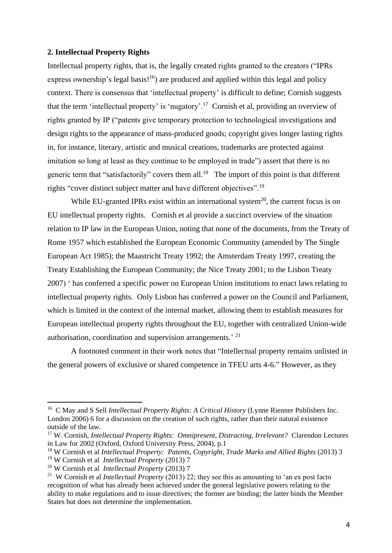#### **2. Intellectual Property Rights**

Intellectual property rights, that is, the legally created rights granted to the creators ("IPRs express ownership's legal basis! $16$ ) are produced and applied within this legal and policy context. There is consensus that 'intellectual property' is difficult to define; Cornish suggests that the term 'intellectual property' is 'nugatory'.<sup>17</sup> Cornish et al, providing an overview of rights granted by IP ("patents give temporary protection to technological investigations and design rights to the appearance of mass-produced goods; copyright gives longer lasting rights in, for instance, literary, artistic and musical creations, trademarks are protected against imitation so long at least as they continue to be employed in trade") assert that there is no generic term that "satisfactorily" covers them all.<sup>18</sup> The import of this point is that different rights "cover distinct subject matter and have different objectives".<sup>19</sup>

While EU-granted IPRs exist within an international system<sup>20</sup>, the current focus is on EU intellectual property rights. Cornish et al provide a succinct overview of the situation relation to IP law in the European Union, noting that none of the documents, from the Treaty of Rome 1957 which established the European Economic Community (amended by The Single European Act 1985); the Maastricht Treaty 1992; the Amsterdam Treaty 1997, creating the Treaty Establishing the European Community; the Nice Treaty 2001; to the Lisbon Treaty 2007) ' has conferred a specific power on European Union institutions to enact laws relating to intellectual property rights. Only Lisbon has conferred a power on the Council and Parliament, which is limited in the context of the internal market, allowing them to establish measures for European intellectual property rights throughout the EU, together with centralized Union-wide authorisation, coordination and supervision arrangements.<sup>' 21</sup>

A footnoted comment in their work notes that "Intellectual property remains unlisted in the general powers of exclusive or shared competence in TFEU arts 4-6." However, as they

<sup>&</sup>lt;sup>16</sup> C May and S Sell *Intellectual Property Rights: A Critical History* (Lynne Rienner Publishers Inc. London 2006) 6 for a discussion on the creation of such rights, rather than their natural existence outside of the law.

<sup>&</sup>lt;sup>17</sup> W. Cornish, *Intellectual Property Rights: Omnipresent, Distracting, Irrelevant?* Clarendon Lectures in Law for 2002 (Oxford, Oxford University Press, 2004), p.1

<sup>18</sup> W Cornish et al *Intellectual Property: Patents, Copyright, Trade Marks and Allied Rights* (2013) 3

<sup>19</sup> W Cornish et al *Intellectual Property* (2013) 7

<sup>20</sup> W Cornish et al *Intellectual Property* (2013) 7

<sup>21</sup> W Cornish et al *Intellectual Property* (2013) 22; they see this as amounting to 'an ex post facto recognition of what has already been achieved under the general legislative powers relating to the ability to make regulations and to issue directives; the former are binding; the latter binds the Member States but does not determine the implementation.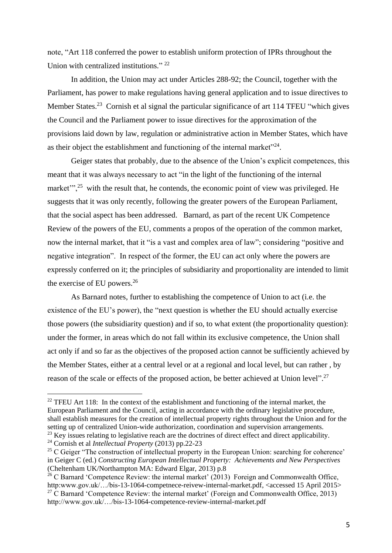note, "Art 118 conferred the power to establish uniform protection of IPRs throughout the Union with centralized institutions."<sup>22</sup>

In addition, the Union may act under Articles 288-92; the Council, together with the Parliament, has power to make regulations having general application and to issue directives to Member States.<sup>23</sup> Cornish et al signal the particular significance of art 114 TFEU "which gives the Council and the Parliament power to issue directives for the approximation of the provisions laid down by law, regulation or administrative action in Member States, which have as their object the establishment and functioning of the internal market $"^{24}$ .

Geiger states that probably, due to the absence of the Union's explicit competences, this meant that it was always necessary to act "in the light of the functioning of the internal market"<sup>25</sup>, with the result that, he contends, the economic point of view was privileged. He suggests that it was only recently, following the greater powers of the European Parliament, that the social aspect has been addressed. Barnard, as part of the recent UK Competence Review of the powers of the EU, comments a propos of the operation of the common market, now the internal market, that it "is a vast and complex area of law"; considering "positive and negative integration". In respect of the former, the EU can act only where the powers are expressly conferred on it; the principles of subsidiarity and proportionality are intended to limit the exercise of EU powers.<sup>26</sup>

As Barnard notes, further to establishing the competence of Union to act (i.e. the existence of the EU's power), the "next question is whether the EU should actually exercise those powers (the subsidiarity question) and if so, to what extent (the proportionality question): under the former, in areas which do not fall within its exclusive competence, the Union shall act only if and so far as the objectives of the proposed action cannot be sufficiently achieved by the Member States, either at a central level or at a regional and local level, but can rather , by reason of the scale or effects of the proposed action, be better achieved at Union level".<sup>27</sup>

 $22$  TFEU Art 118: In the context of the establishment and functioning of the internal market, the European Parliament and the Council, acting in accordance with the ordinary legislative procedure, shall establish measures for the creation of intellectual property rights throughout the Union and for the setting up of centralized Union-wide authorization, coordination and supervision arrangements*.* <sup>23</sup> Key issues relating to legislative reach are the doctrines of direct effect and direct applicability.

<sup>24</sup> Cornish et al *Intellectual Property* (2013) pp.22-23

<sup>&</sup>lt;sup>25</sup> C Geiger "The construction of intellectual property in the European Union: searching for coherence' in Geiger C (ed.) *Constructing European Intellectual Property: Achievements and New Perspectives*  (Cheltenham UK/Northampton MA: Edward Elgar, 2013) p.8

<sup>&</sup>lt;sup>26</sup> C Barnard 'Competence Review: the internal market' (2013) Foreign and Commonwealth Office, http:www.gov.uk/.../bis-13-1064-competnece-reivew-internal-market.pdf, <accessed 15 April 2015> <sup>27</sup> C Barnard 'Competence Review: the internal market' (Foreign and Commonwealth Office, 2013) http://www.gov.uk/…/bis-13-1064-competence-review-internal-market.pdf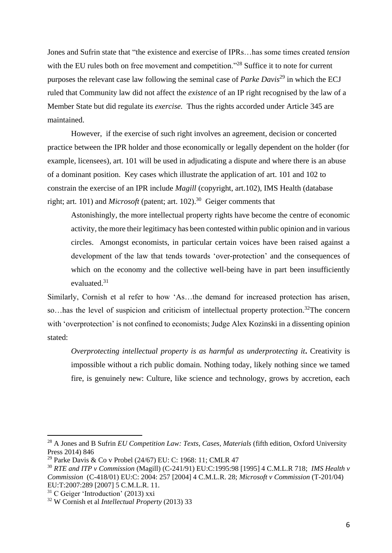Jones and Sufrin state that "the existence and exercise of IPRs…has some times created *tension* with the EU rules both on free movement and competition."<sup>28</sup> Suffice it to note for current purposes the relevant case law following the seminal case of *Parke Davis*<sup>29</sup> in which the ECJ ruled that Community law did not affect the *existence* of an IP right recognised by the law of a Member State but did regulate its *exercise.* Thus the rights accorded under Article 345 are maintained.

However, if the exercise of such right involves an agreement, decision or concerted practice between the IPR holder and those economically or legally dependent on the holder (for example, licensees), art. 101 will be used in adjudicating a dispute and where there is an abuse of a dominant position. Key cases which illustrate the application of art. 101 and 102 to constrain the exercise of an IPR include *Magill* (copyright, art.102), IMS Health (database right; art. 101) and *Microsoft* (patent; art. 102). 30 Geiger comments that

Astonishingly, the more intellectual property rights have become the centre of economic activity, the more their legitimacy has been contested within public opinion and in various circles. Amongst economists, in particular certain voices have been raised against a development of the law that tends towards 'over-protection' and the consequences of which on the economy and the collective well-being have in part been insufficiently evaluated.<sup>31</sup>

Similarly, Cornish et al refer to how 'As…the demand for increased protection has arisen, so...has the level of suspicion and criticism of intellectual property protection.<sup>32</sup>The concern with 'overprotection' is not confined to economists; Judge Alex Kozinski in a dissenting opinion stated:

*Overprotecting intellectual property is as harmful as underprotecting it***.** Creativity is impossible without a rich public domain. Nothing today, likely nothing since we tamed fire, is genuinely new: Culture, like science and technology, grows by accretion, each

<sup>&</sup>lt;sup>28</sup> A Jones and B Sufrin *EU Competition Law: Texts, Cases, Materials (fifth edition, Oxford University* Press 2014) 846

<sup>&</sup>lt;sup>29</sup> Parke Davis & Co v Probel (24/67) EU: C: 1968: 11; CMLR 47

<sup>30</sup> *RTE and ITP v Commission* (Magill) (C-241/91) EU:C:1995:98 [1995] 4 C.M.L.R 718; *IMS Health v Commission* (C-418/01) EU:C: 2004: 257 [2004] 4 C.M.L.R. 28; *Microsoft v Commission* (T-201/04) EU:T:2007:289 [2007] 5 C.M.L.R. 11.

 $31$  C Geiger 'Introduction' (2013) xxi

<sup>32</sup> W Cornish et al *Intellectual Property* (2013) 33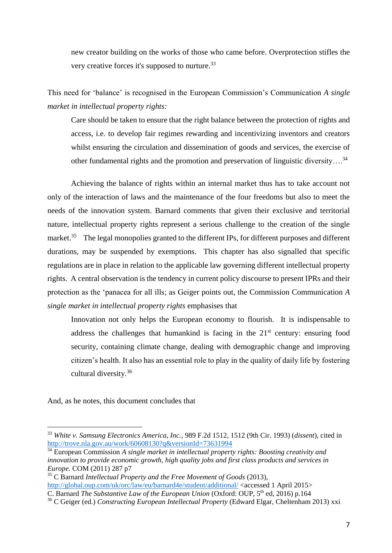new creator building on the works of those who came before. Overprotection stifles the very creative forces it's supposed to nurture.<sup>33</sup>

This need for 'balance' is recognised in the European Commission's Communication *A single market in intellectual property rights:*

Care should be taken to ensure that the right balance between the protection of rights and access, i.e. to develop fair regimes rewarding and incentivizing inventors and creators whilst ensuring the circulation and dissemination of goods and services, the exercise of other fundamental rights and the promotion and preservation of linguistic diversity....<sup>34</sup>

Achieving the balance of rights within an internal market thus has to take account not only of the interaction of laws and the maintenance of the four freedoms but also to meet the needs of the innovation system. Barnard comments that given their exclusive and territorial nature, intellectual property rights represent a serious challenge to the creation of the single market.<sup>35</sup> The legal monopolies granted to the different IPs, for different purposes and different durations, may be suspended by exemptions. This chapter has also signalled that specific regulations are in place in relation to the applicable law governing different intellectual property rights. A central observation is the tendency in current policy discourse to present IPRs and their protection as the 'panacea for all ills; as Geiger points out, the Commission Communication *A single market in intellectual property rights* emphasises that

Innovation not only helps the European economy to flourish. It is indispensable to address the challenges that humankind is facing in the 21st century: ensuring food security, containing climate change, dealing with demographic change and improving citizen's health. It also has an essential role to play in the quality of daily life by fostering cultural diversity.<sup>36</sup>

And, as he notes, this document concludes that

<sup>33</sup> *White v. Samsung Electronics America, Inc.*, 989 F.2d 1512, 1512 (9th Cir. 1993) (*dissent*), cited in <http://trove.nla.gov.au/work/60608130?q&versionId=73631994>

<sup>34</sup> European Commission *A single market in intellectual property rights: Boosting creativity and innovation to provide economic growth, high quality jobs and first class products and services in Europe.* COM (2011) 287 p7

<sup>35</sup> C Barnard *Intellectual Property and the Free Movement of Goods* (2013), <http://global.oup.com/uk/orc/law/eu/barnard4e/student/additional/> <accessed 1 April 2015> C. Barnard *The Substantive Law of the European Union* (Oxford: OUP, 5<sup>th</sup> ed, 2016) p.164

<sup>36</sup> C Geiger (ed.) *Constructing European Intellectual Property* (Edward Elgar, Cheltenham 2013) xxi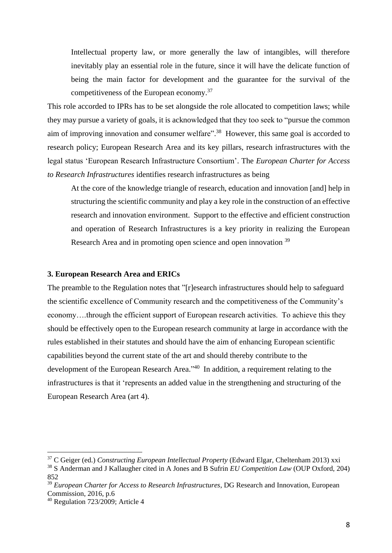Intellectual property law, or more generally the law of intangibles, will therefore inevitably play an essential role in the future, since it will have the delicate function of being the main factor for development and the guarantee for the survival of the competitiveness of the European economy.<sup>37</sup>

This role accorded to IPRs has to be set alongside the role allocated to competition laws; while they may pursue a variety of goals, it is acknowledged that they too seek to "pursue the common aim of improving innovation and consumer welfare".<sup>38</sup> However, this same goal is accorded to research policy; European Research Area and its key pillars, research infrastructures with the legal status 'European Research Infrastructure Consortium'. The *European Charter for Access to Research Infrastructures* identifies research infrastructures as being

At the core of the knowledge triangle of research, education and innovation [and] help in structuring the scientific community and play a key role in the construction of an effective research and innovation environment. Support to the effective and efficient construction and operation of Research Infrastructures is a key priority in realizing the European Research Area and in promoting open science and open innovation <sup>39</sup>

#### **3. European Research Area and ERICs**

The preamble to the Regulation notes that "[r]esearch infrastructures should help to safeguard the scientific excellence of Community research and the competitiveness of the Community's economy….through the efficient support of European research activities. To achieve this they should be effectively open to the European research community at large in accordance with the rules established in their statutes and should have the aim of enhancing European scientific capabilities beyond the current state of the art and should thereby contribute to the development of the European Research Area."<sup>40</sup> In addition, a requirement relating to the infrastructures is that it 'represents an added value in the strengthening and structuring of the European Research Area (art 4).

1

<sup>37</sup> C Geiger (ed.) *Constructing European Intellectual Property* (Edward Elgar, Cheltenham 2013) xxi

<sup>38</sup> S Anderman and J Kallaugher cited in A Jones and B Sufrin *EU Competition Law* (OUP Oxford, 204) 852

<sup>39</sup> *European Charter for Access to Research Infrastructures*, DG Research and Innovation, European Commission, 2016, p.6

<sup>40</sup> Regulation 723/2009; Article 4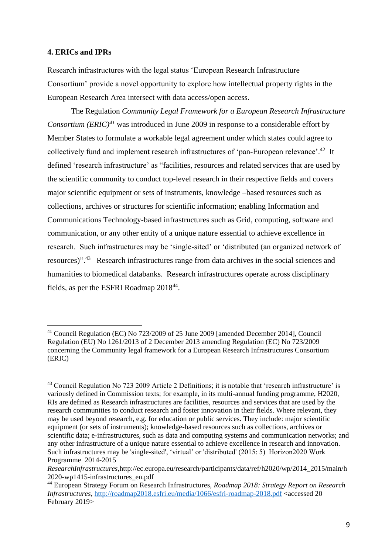#### **4. ERICs and IPRs**

**.** 

Research infrastructures with the legal status 'European Research Infrastructure Consortium' provide a novel opportunity to explore how intellectual property rights in the European Research Area intersect with data access/open access.

The Regulation *Community Legal Framework for a European Research Infrastructure Consortium (ERIC)<sup>41</sup>* was introduced in June 2009 in response to a considerable effort by Member States to formulate a workable legal agreement under which states could agree to collectively fund and implement research infrastructures of 'pan-European relevance'.<sup>42</sup> It defined 'research infrastructure' as "facilities, resources and related services that are used by the scientific community to conduct top-level research in their respective fields and covers major scientific equipment or sets of instruments, knowledge –based resources such as collections, archives or structures for scientific information; enabling Information and Communications Technology-based infrastructures such as Grid, computing, software and communication, or any other entity of a unique nature essential to achieve excellence in research. Such infrastructures may be 'single-sited' or 'distributed (an organized network of resources)".<sup>43</sup> Research infrastructures range from data archives in the social sciences and humanities to biomedical databanks. Research infrastructures operate across disciplinary fields, as per the ESFRI Roadmap 2018<sup>44</sup>.

<sup>&</sup>lt;sup>41</sup> Council Regulation (EC) No 723/2009 of 25 June 2009 [amended December 2014], Council Regulation (EU) No 1261/2013 of 2 December 2013 amending Regulation (EC) No 723/2009 concerning the Community legal framework for a European Research Infrastructures Consortium (ERIC)

<sup>&</sup>lt;sup>43</sup> Council Regulation No 723 2009 Article 2 Definitions; it is notable that 'research infrastructure' is variously defined in Commission texts; for example, in its multi-annual funding programme, H2020, RIs are defined as Research infrastructures are facilities, resources and services that are used by the research communities to conduct research and foster innovation in their fields. Where relevant, they may be used beyond research, e.g. for education or public services. They include: major scientific equipment (or sets of instruments); knowledge-based resources such as collections, archives or scientific data; e-infrastructures, such as data and computing systems and communication networks; and any other infrastructure of a unique nature essential to achieve excellence in research and innovation. Such infrastructures may be 'single-sited', 'virtual' or 'distributed' (2015: 5) Horizon2020 Work Programme 2014-2015

*ResearchInfrastructures,*http://ec.europa.eu/research/participants/data/ref/h2020/wp/2014\_2015/main/h 2020-wp1415-infrastructures\_en.pdf

<sup>44</sup> European Strategy Forum on Research Infrastructures, *Roadmap 2018: Strategy Report on Research Infrastructures*,<http://roadmap2018.esfri.eu/media/1066/esfri-roadmap-2018.pdf> <accessed 20 February 2019>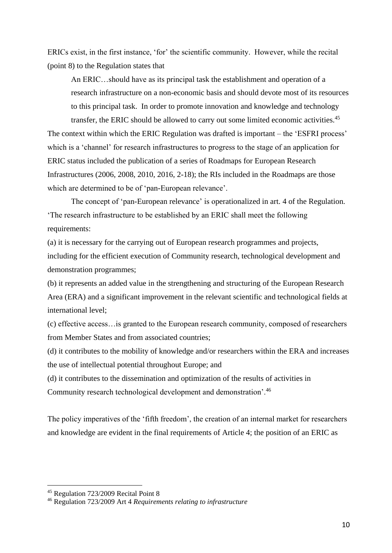ERICs exist, in the first instance, 'for' the scientific community. However, while the recital (point 8) to the Regulation states that

An ERIC…should have as its principal task the establishment and operation of a research infrastructure on a non-economic basis and should devote most of its resources to this principal task. In order to promote innovation and knowledge and technology transfer, the ERIC should be allowed to carry out some limited economic activities.<sup>45</sup>

The context within which the ERIC Regulation was drafted is important – the 'ESFRI process' which is a 'channel' for research infrastructures to progress to the stage of an application for ERIC status included the publication of a series of Roadmaps for European Research Infrastructures (2006, 2008, 2010, 2016, 2-18); the RIs included in the Roadmaps are those which are determined to be of 'pan-European relevance'.

The concept of 'pan-European relevance' is operationalized in art. 4 of the Regulation. 'The research infrastructure to be established by an ERIC shall meet the following requirements:

(a) it is necessary for the carrying out of European research programmes and projects, including for the efficient execution of Community research, technological development and demonstration programmes;

(b) it represents an added value in the strengthening and structuring of the European Research Area (ERA) and a significant improvement in the relevant scientific and technological fields at international level;

(c) effective access…is granted to the European research community, composed of researchers from Member States and from associated countries;

(d) it contributes to the mobility of knowledge and/or researchers within the ERA and increases the use of intellectual potential throughout Europe; and

(d) it contributes to the dissemination and optimization of the results of activities in Community research technological development and demonstration'.<sup>46</sup>

The policy imperatives of the 'fifth freedom', the creation of an internal market for researchers and knowledge are evident in the final requirements of Article 4; the position of an ERIC as

<sup>45</sup> Regulation 723/2009 Recital Point 8

<sup>46</sup> Regulation 723/2009 Art 4 *Requirements relating to infrastructure*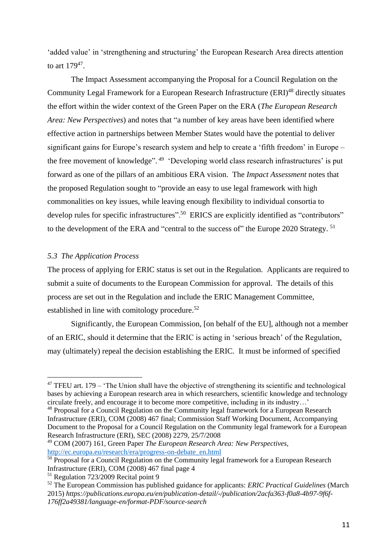'added value' in 'strengthening and structuring' the European Research Area directs attention to art  $179^{47}$ .

The Impact Assessment accompanying the Proposal for a Council Regulation on the Community Legal Framework for a European Research Infrastructure (ERI)<sup>48</sup> directly situates the effort within the wider context of the Green Paper on the ERA (*The European Research Area: New Perspectives*) and notes that "a number of key areas have been identified where effective action in partnerships between Member States would have the potential to deliver significant gains for Europe's research system and help to create a 'fifth freedom' in Europe – the free movement of knowledge".<sup>49</sup> 'Developing world class research infrastructures' is put forward as one of the pillars of an ambitious ERA vision. The *Impact Assessment* notes that the proposed Regulation sought to "provide an easy to use legal framework with high commonalities on key issues, while leaving enough flexibility to individual consortia to develop rules for specific infrastructures".<sup>50</sup> ERICS are explicitly identified as "contributors" to the development of the ERA and "central to the success of" the Europe 2020 Strategy.<sup>51</sup>

#### *5.3 The Application Process*

**.** 

The process of applying for ERIC status is set out in the Regulation. Applicants are required to submit a suite of documents to the European Commission for approval. The details of this process are set out in the Regulation and include the ERIC Management Committee, established in line with comitology procedure.<sup>52</sup>

Significantly, the European Commission, [on behalf of the EU], although not a member of an ERIC, should it determine that the ERIC is acting in 'serious breach' of the Regulation, may (ultimately) repeal the decision establishing the ERIC. It must be informed of specified

 $47$  TFEU art. 179 – 'The Union shall have the objective of strengthening its scientific and technological bases by achieving a European research area in which researchers, scientific knowledge and technology circulate freely, and encourage it to become more competitive, including in its industry…'

<sup>&</sup>lt;sup>48</sup> Proposal for a Council Regulation on the Community legal framework for a European Research Infrastructure (ERI), COM (2008) 467 final; Commission Staff Working Document, Accompanying Document to the Proposal for a Council Regulation on the Community legal framework for a European Research Infrastructure (ERI), SEC (2008) 2279, 25/7/2008

<sup>49</sup> COM (2007) 161, Green Paper *The European Research Area: New Perspectives,*  [http://ec.europa.eu/research/era/progress-on-debate\\_en.html](http://ec.europa.eu/research/era/progress-on-debate_en.html)

 $50$  Proposal for a Council Regulation on the Community legal framework for a European Research Infrastructure (ERI), COM (2008) 467 final page 4

<sup>&</sup>lt;sup>51</sup> Regulation 723/2009 Recital point 9

<sup>52</sup> The European Commission has published guidance for applicants: *ERIC Practical Guidelines* (March 2015) *https://publications.europa.eu/en/publication-detail/-/publication/2acfa363-f0a8-4b97-9f6f-176ff2a49381/language-en/format-PDF/source-search*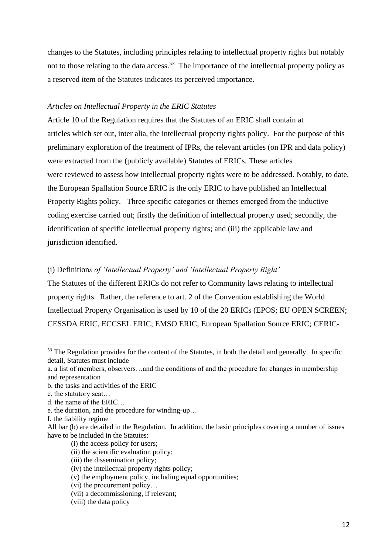changes to the Statutes, including principles relating to intellectual property rights but notably not to those relating to the data access.<sup>53</sup> The importance of the intellectual property policy as a reserved item of the Statutes indicates its perceived importance.

#### *Articles on Intellectual Property in the ERIC Statutes*

Article 10 of the Regulation requires that the Statutes of an ERIC shall contain at articles which set out, inter alia, the intellectual property rights policy. For the purpose of this preliminary exploration of the treatment of IPRs, the relevant articles (on IPR and data policy) were extracted from the (publicly available) Statutes of ERICs. These articles were reviewed to assess how intellectual property rights were to be addressed. Notably, to date, the European Spallation Source ERIC is the only ERIC to have published an Intellectual Property Rights policy. Three specific categories or themes emerged from the inductive coding exercise carried out; firstly the definition of intellectual property used; secondly, the identification of specific intellectual property rights; and (iii) the applicable law and jurisdiction identified.

#### (i) Definition*s of 'Intellectual Property' and 'Intellectual Property Right'*

The Statutes of the different ERICs do not refer to Community laws relating to intellectual property rights. Rather, the reference to art. 2 of the Convention establishing the World Intellectual Property Organisation is used by 10 of the 20 ERICs (EPOS; EU OPEN SCREEN; CESSDA ERIC, ECCSEL ERIC; EMSO ERIC; European Spallation Source ERIC; CERIC-

**.** 

(i) the access policy for users;

<sup>&</sup>lt;sup>53</sup> The Regulation provides for the content of the Statutes, in both the detail and generally. In specific detail, Statutes must include

a. a list of members, observers…and the conditions of and the procedure for changes in membership and representation

b. the tasks and activities of the ERIC

c. the statutory seat…

d. the name of the ERIC…

e. the duration, and the procedure for winding-up…

f. the liability regime

All bar (b) are detailed in the Regulation. In addition, the basic principles covering a number of issues have to be included in the Statutes:

<sup>(</sup>ii) the scientific evaluation policy;

<sup>(</sup>iii) the dissemination policy;

<sup>(</sup>iv) the intellectual property rights policy;

<sup>(</sup>v) the employment policy, including equal opportunities;

<sup>(</sup>vi) the procurement policy…

<sup>(</sup>vii) a decommissioning, if relevant;

<sup>(</sup>viii) the data policy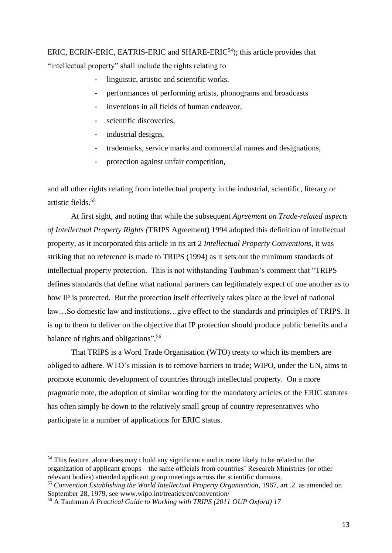## ERIC, ECRIN-ERIC, EATRIS-ERIC and SHARE-ERIC<sup>54</sup>); this article provides that "intellectual property" shall include the rights relating to

- linguistic, artistic and scientific works,
- performances of performing artists, phonograms and broadcasts
- inventions in all fields of human endeavor.
- scientific discoveries.
- industrial designs,
- trademarks, service marks and commercial names and designations,
- protection against unfair competition,

and all other rights relating from intellectual property in the industrial, scientific, literary or artistic fields.<sup>55</sup>

At first sight, and noting that while the subsequent *Agreement on Trade-related aspects of Intellectual Property Rights (*TRIPS Agreement) 1994 adopted this definition of intellectual property, as it incorporated this article in its art 2 *Intellectual Property Conventions*, it was striking that no reference is made to TRIPS (1994) as it sets out the minimum standards of intellectual property protection. This is not withstanding Taubman's comment that "TRIPS defines standards that define what national partners can legitimately expect of one another as to how IP is protected. But the protection itself effectively takes place at the level of national law…So domestic law and institutions…give effect to the standards and principles of TRIPS. It is up to them to deliver on the objective that IP protection should produce public benefits and a balance of rights and obligations".<sup>56</sup>

That TRIPS is a Word Trade Organisation (WTO) treaty to which its members are obliged to adhere. WTO's mission is to remove barriers to trade; WIPO, under the UN, aims to promote economic development of countries through intellectual property. On a more pragmatic note, the adoption of similar wording for the mandatory articles of the ERIC statutes has often simply be down to the relatively small group of country representatives who participate in a number of applications for ERIC status.

1

<sup>&</sup>lt;sup>54</sup> This feature alone does may t hold any significance and is more likely to be related to the organization of applicant groups – the same officials from countries' Research Ministries (or other relevant bodies) attended applicant group meetings across the scientific domains.

<sup>55</sup> *Convention Establishing the World Intellectual Property Organisation*, 1967, art .2 as amended on September 28, 1979, see www.wipo.int/treaties/en/convention/

<sup>56</sup> A Taubman *A Practical Guide to Working with TRIPS (2011 OUP Oxford) 17*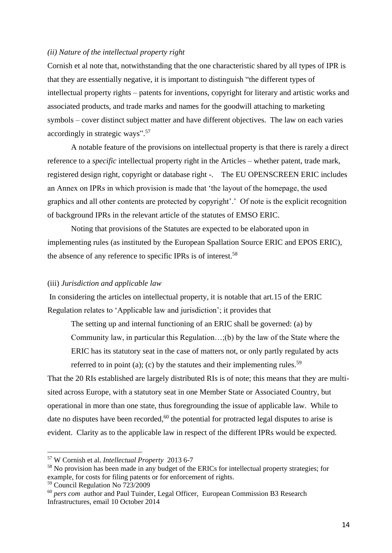#### *(ii) Nature of the intellectual property right*

Cornish et al note that, notwithstanding that the one characteristic shared by all types of IPR is that they are essentially negative, it is important to distinguish "the different types of intellectual property rights – patents for inventions, copyright for literary and artistic works and associated products, and trade marks and names for the goodwill attaching to marketing symbols – cover distinct subject matter and have different objectives. The law on each varies accordingly in strategic ways". 57

A notable feature of the provisions on intellectual property is that there is rarely a direct reference to a *specific* intellectual property right in the Articles – whether patent, trade mark, registered design right, copyright or database right -. The EU OPENSCREEN ERIC includes an Annex on IPRs in which provision is made that 'the layout of the homepage, the used graphics and all other contents are protected by copyright'.' Of note is the explicit recognition of background IPRs in the relevant article of the statutes of EMSO ERIC.

Noting that provisions of the Statutes are expected to be elaborated upon in implementing rules (as instituted by the European Spallation Source ERIC and EPOS ERIC), the absence of any reference to specific IPRs is of interest.<sup>58</sup>

#### (iii) *Jurisdiction and applicable law*

In considering the articles on intellectual property, it is notable that art.15 of the ERIC Regulation relates to 'Applicable law and jurisdiction'; it provides that

The setting up and internal functioning of an ERIC shall be governed: (a) by Community law, in particular this Regulation…;(b) by the law of the State where the ERIC has its statutory seat in the case of matters not, or only partly regulated by acts referred to in point (a); (c) by the statutes and their implementing rules.<sup>59</sup>

That the 20 RIs established are largely distributed RIs is of note; this means that they are multisited across Europe, with a statutory seat in one Member State or Associated Country, but operational in more than one state, thus foregrounding the issue of applicable law. While to date no disputes have been recorded,<sup>60</sup> the potential for protracted legal disputes to arise is evident. Clarity as to the applicable law in respect of the different IPRs would be expected.

<sup>59</sup> Council Regulation No 723/2009

1

<sup>57</sup> W Cornish et al. *Intellectual Property* 2013 6-7

<sup>&</sup>lt;sup>58</sup> No provision has been made in any budget of the ERICs for intellectual property strategies; for example, for costs for filing patents or for enforcement of rights.

<sup>60</sup> *pers com* author and Paul Tuinder, Legal Officer, European Commission B3 Research Infrastructures, email 10 October 2014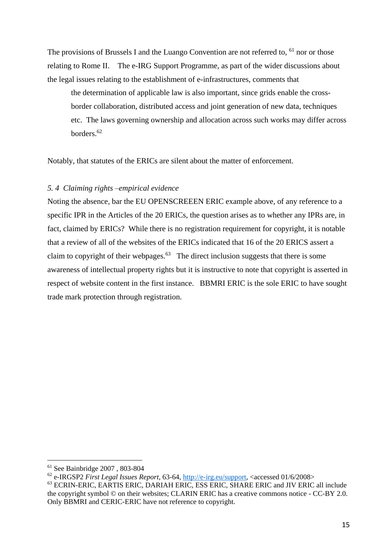The provisions of Brussels I and the Luango Convention are not referred to, <sup>61</sup> nor or those relating to Rome II. The e-IRG Support Programme, as part of the wider discussions about the legal issues relating to the establishment of e-infrastructures, comments that

the determination of applicable law is also important, since grids enable the crossborder collaboration, distributed access and joint generation of new data, techniques etc. The laws governing ownership and allocation across such works may differ across borders.<sup>62</sup>

Notably, that statutes of the ERICs are silent about the matter of enforcement.

#### *5. 4 Claiming rights –empirical evidence*

Noting the absence, bar the EU OPENSCREEEN ERIC example above, of any reference to a specific IPR in the Articles of the 20 ERICs, the question arises as to whether any IPRs are, in fact, claimed by ERICs? While there is no registration requirement for copyright, it is notable that a review of all of the websites of the ERICs indicated that 16 of the 20 ERICS assert a claim to copyright of their webpages. $63$  The direct inclusion suggests that there is some awareness of intellectual property rights but it is instructive to note that copyright is asserted in respect of website content in the first instance. BBMRI ERIC is the sole ERIC to have sought trade mark protection through registration.

<sup>61</sup> See Bainbridge 2007 , 803-804

<sup>62</sup> e-IRGSP2 *First Legal Issues Report*, 63-64, [http://e-irg.eu/support,](http://e-irg.eu/support) <accessed 01/6/2008>

<sup>&</sup>lt;sup>63</sup> ECRIN-ERIC, EARTIS ERIC, DARIAH ERIC, ESS ERIC, SHARE ERIC and JIV ERIC all include the copyright symbol © on their websites; CLARIN ERIC has a creative commons notice - CC-BY 2.0. Only BBMRI and CERIC-ERIC have not reference to copyright.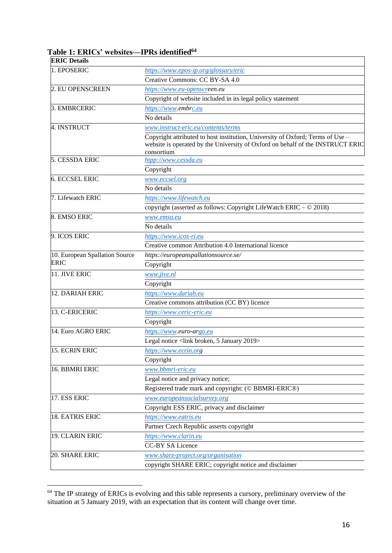| <b>ERIC</b> Details            |                                                                                                                                                                                |  |  |  |
|--------------------------------|--------------------------------------------------------------------------------------------------------------------------------------------------------------------------------|--|--|--|
| 1. EPOSERIC                    | https://www.epos-ip.org/glossary/eric                                                                                                                                          |  |  |  |
|                                | Creative Commons: CC BY-SA 4.0                                                                                                                                                 |  |  |  |
| 2. EU OPENSCREEN               | https://www.eu-openscreen.eu                                                                                                                                                   |  |  |  |
|                                | Copyright of website included in its legal policy statement                                                                                                                    |  |  |  |
| 3. EMBRCERIC                   | https://www.embrc.eu                                                                                                                                                           |  |  |  |
|                                | No details                                                                                                                                                                     |  |  |  |
| 4. INSTRUCT                    | www.instruct-eric.eu/contents/terms                                                                                                                                            |  |  |  |
|                                | Copyright attributed to host institution, University of Oxford; Terms of Use –<br>website is operated by the University of Oxford on behalf of the INSTRUCT ERIC<br>consortium |  |  |  |
| 5. CESSDA ERIC                 | htpp://www.cessda.eu                                                                                                                                                           |  |  |  |
|                                | Copyright                                                                                                                                                                      |  |  |  |
| <b>6. ECCSEL ERIC</b>          | www.eccsel.org                                                                                                                                                                 |  |  |  |
|                                | No details                                                                                                                                                                     |  |  |  |
| 7. Lifewatch ERIC              | https://www.lifewatch.eu                                                                                                                                                       |  |  |  |
|                                | copyright (asserted as follows: Copyright LifeWatch ERIC - © 2018)                                                                                                             |  |  |  |
| 8. EMSO ERIC                   | www.emso.eu                                                                                                                                                                    |  |  |  |
|                                | No details                                                                                                                                                                     |  |  |  |
| 9. ICOS ERIC                   | https://www.icos-ri.eu                                                                                                                                                         |  |  |  |
|                                | Creative common Attribution 4.0 International licence                                                                                                                          |  |  |  |
| 10. European Spallation Source | https://europeanspallationsource.se/                                                                                                                                           |  |  |  |
| <b>ERIC</b>                    | Copyright                                                                                                                                                                      |  |  |  |
| 11. JIVE ERIC                  | www.jive.nl                                                                                                                                                                    |  |  |  |
|                                | Copyright                                                                                                                                                                      |  |  |  |
| 12. DARIAH ERIC                | https://www.dariah.eu                                                                                                                                                          |  |  |  |
|                                | Creative commons attribution (CC BY) licence                                                                                                                                   |  |  |  |
| 13. C-ERICERIC                 | https://www.ceric-eric.eu                                                                                                                                                      |  |  |  |
|                                | Copyright                                                                                                                                                                      |  |  |  |
| 14. Euro AGRO ERIC             | https://www.euro-argo.eu                                                                                                                                                       |  |  |  |
|                                | Legal notice <link 2019="" 5="" broken,="" january=""/>                                                                                                                        |  |  |  |
| 15. ECRIN ERIC                 | https://www.ecrin.org                                                                                                                                                          |  |  |  |
|                                | Copyright                                                                                                                                                                      |  |  |  |
| 16. BBMRI ERIC                 | www.bbmri-eric.eu                                                                                                                                                              |  |  |  |
|                                | Legal notice and privacy notice;                                                                                                                                               |  |  |  |
|                                | Registered trade mark and copyright: (© BBMRI-ERIC®)                                                                                                                           |  |  |  |
| 17. ESS ERIC                   | www.europeansocialsurvey.org                                                                                                                                                   |  |  |  |
|                                | Copyright ESS ERIC, privacy and disclaimer                                                                                                                                     |  |  |  |
| 18. EATRIS ERIC                | https://www.eatris.eu                                                                                                                                                          |  |  |  |
|                                | Partner Czech Republic asserts copyright                                                                                                                                       |  |  |  |
| 19. CLARIN ERIC                | https://www.clarin.eu                                                                                                                                                          |  |  |  |
|                                | <b>CC-BY SA Licence</b>                                                                                                                                                        |  |  |  |
| 20. SHARE ERIC                 | www.share-project.org/organisation                                                                                                                                             |  |  |  |
|                                | copyright SHARE ERIC; copyright notice and disclaimer                                                                                                                          |  |  |  |
|                                |                                                                                                                                                                                |  |  |  |

### **Table 1: ERICs' websites—IPRs identified<sup>64</sup>**

<sup>&</sup>lt;sup>64</sup> The IP strategy of ERICs is evolving and this table represents a cursory, preliminary overview of the situation at 5 January 2019, with an expectation that its content will change over time.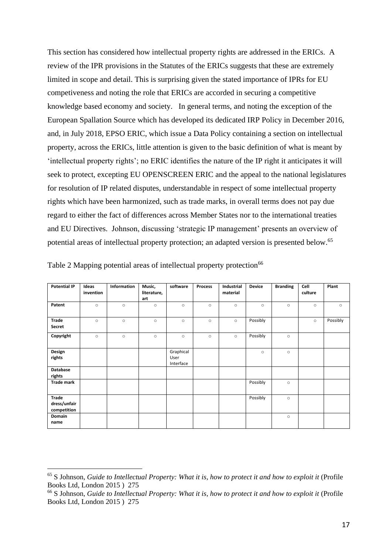This section has considered how intellectual property rights are addressed in the ERICs. A review of the IPR provisions in the Statutes of the ERICs suggests that these are extremely limited in scope and detail. This is surprising given the stated importance of IPRs for EU competiveness and noting the role that ERICs are accorded in securing a competitive knowledge based economy and society. In general terms, and noting the exception of the European Spallation Source which has developed its dedicated IRP Policy in December 2016, and, in July 2018, EPSO ERIC, which issue a Data Policy containing a section on intellectual property, across the ERICs, little attention is given to the basic definition of what is meant by 'intellectual property rights'; no ERIC identifies the nature of the IP right it anticipates it will seek to protect, excepting EU OPENSCREEN ERIC and the appeal to the national legislatures for resolution of IP related disputes, understandable in respect of some intellectual property rights which have been harmonized, such as trade marks, in overall terms does not pay due regard to either the fact of differences across Member States nor to the international treaties and EU Directives. Johnson, discussing 'strategic IP management' presents an overview of potential areas of intellectual property protection; an adapted version is presented below.<sup>65</sup>

| <b>Potential IP</b>                  | Ideas<br>invention | Information | Music,<br>literature,<br>art | software                       | <b>Process</b> | Industrial<br>material | <b>Device</b> | <b>Branding</b> | Cell<br>culture | Plant    |
|--------------------------------------|--------------------|-------------|------------------------------|--------------------------------|----------------|------------------------|---------------|-----------------|-----------------|----------|
| Patent                               | $\circ$            | $\circ$     | $\circ$                      | $\circ$                        | $\circ$        | $\circ$                | $\circ$       | $\circ$         | $\circ$         | $\circ$  |
| Trade<br>Secret                      | $\circ$            | $\circ$     | $\circ$                      | $\circ$                        | $\circ$        | $\circ$                | Possibly      |                 | $\circ$         | Possibly |
| Copyright                            | $\circ$            | $\circ$     | $\circ$                      | $\circ$                        | $\circ$        | $\circ$                | Possibly      | $\circ$         |                 |          |
| Design<br>rights                     |                    |             |                              | Graphical<br>User<br>Interface |                |                        | $\circ$       | $\circ$         |                 |          |
| Database<br>rights                   |                    |             |                              |                                |                |                        |               |                 |                 |          |
| <b>Trade mark</b>                    |                    |             |                              |                                |                |                        | Possibly      | $\circ$         |                 |          |
| Trade<br>dress/unfair<br>competition |                    |             |                              |                                |                |                        | Possibly      | $\circ$         |                 |          |
| Domain<br>name                       |                    |             |                              |                                |                |                        |               | $\circ$         |                 |          |

|  |  | Table 2 Mapping potential areas of intellectual property protection <sup>66</sup> |  |
|--|--|-----------------------------------------------------------------------------------|--|
|  |  |                                                                                   |  |

<sup>65</sup> S Johnson, *Guide to Intellectual Property: What it is, how to protect it and how to exploit it* (Profile Books Ltd, London 2015 ) 275

<sup>&</sup>lt;sup>66</sup> S Johnson, *Guide to Intellectual Property: What it is, how to protect it and how to exploit it (Profile)* Books Ltd, London 2015 ) 275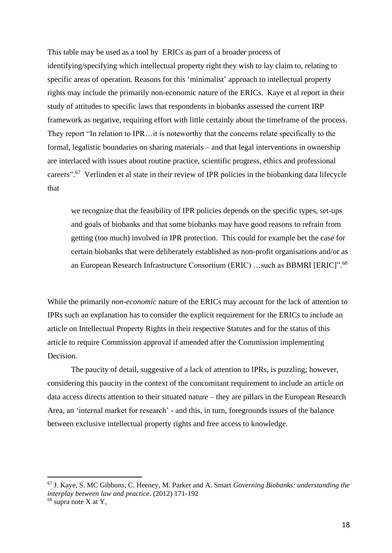This table may be used as a tool by ERICs as part of a broader process of identifying/specifying which intellectual property right they wish to lay claim to, relating to specific areas of operation. Reasons for this 'minimalist' approach to intellectual property rights may include the primarily non-economic nature of the ERICs. Kaye et al report in their study of attitudes to specific laws that respondents in biobanks assessed the current IRP framework as negative, requiring effort with little certainly about the timeframe of the process. They report "In relation to IPR…it is noteworthy that the concerns relate specifically to the formal, legalistic boundaries on sharing materials – and that legal interventions in ownership are interlaced with issues about routine practice, scientific progress, ethics and professional careers".<sup>67</sup> Verlinden et al state in their review of IPR policies in the biobanking data lifecycle that

we recognize that the feasibility of IPR policies depends on the specific types, set-ups and goals of biobanks and that some biobanks may have good reasons to refrain from getting (too much) involved in IPR protection. This could for example bet the case for certain biobanks that were deliberately established as non-profit organisations and/or as an European Research Infrastructure Consortium (ERIC) ... such as BBMRI [ERIC]".<sup>68</sup>

While the primarily *non-economic* nature of the ERICs may account for the lack of attention to IPRs such an explanation has to consider the explicit requirement for the ERICs to include an article on Intellectual Property Rights in their respective Statutes and for the status of this article to require Commission approval if amended after the Commission implementing Decision.

The paucity of detail, suggestive of a lack of attention to IPRs, is puzzling; however, considering this paucity in the context of the concomitant requirement to include an article on data access directs attention to their situated nature – they are pillars in the European Research Area, an 'internal market for research' - and this, in turn, foregrounds issues of the balance between exclusive intellectual property rights and free access to knowledge.

<sup>67</sup> J. Kaye, S. MC Gibbons, C. Heeney, M. Parker and A. Smart *Governing Biobanks: understanding the interplay between law and practice*. (2012) 171-192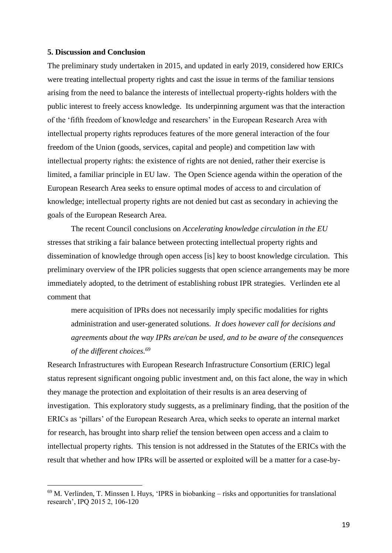#### **5. Discussion and Conclusion**

**.** 

The preliminary study undertaken in 2015, and updated in early 2019, considered how ERICs were treating intellectual property rights and cast the issue in terms of the familiar tensions arising from the need to balance the interests of intellectual property-rights holders with the public interest to freely access knowledge. Its underpinning argument was that the interaction of the 'fifth freedom of knowledge and researchers' in the European Research Area with intellectual property rights reproduces features of the more general interaction of the four freedom of the Union (goods, services, capital and people) and competition law with intellectual property rights: the existence of rights are not denied, rather their exercise is limited, a familiar principle in EU law. The Open Science agenda within the operation of the European Research Area seeks to ensure optimal modes of access to and circulation of knowledge; intellectual property rights are not denied but cast as secondary in achieving the goals of the European Research Area.

The recent Council conclusions on *Accelerating knowledge circulation in the EU* stresses that striking a fair balance between protecting intellectual property rights and dissemination of knowledge through open access [is] key to boost knowledge circulation. This preliminary overview of the IPR policies suggests that open science arrangements may be more immediately adopted, to the detriment of establishing robust IPR strategies. Verlinden ete al comment that

mere acquisition of IPRs does not necessarily imply specific modalities for rights administration and user-generated solutions. *It does however call for decisions and agreements about the way IPRs are/can be used, and to be aware of the consequences of the different choices. 69*

Research Infrastructures with European Research Infrastructure Consortium (ERIC) legal status represent significant ongoing public investment and, on this fact alone, the way in which they manage the protection and exploitation of their results is an area deserving of investigation. This exploratory study suggests, as a preliminary finding, that the position of the ERICs as 'pillars' of the European Research Area, which seeks to operate an internal market for research, has brought into sharp relief the tension between open access and a claim to intellectual property rights. This tension is not addressed in the Statutes of the ERICs with the result that whether and how IPRs will be asserted or exploited will be a matter for a case-by-

 $69$  M. Verlinden, T. Minssen I. Huys, 'IPRS in biobanking – risks and opportunities for translational research', IPQ 2015 2, 106-120